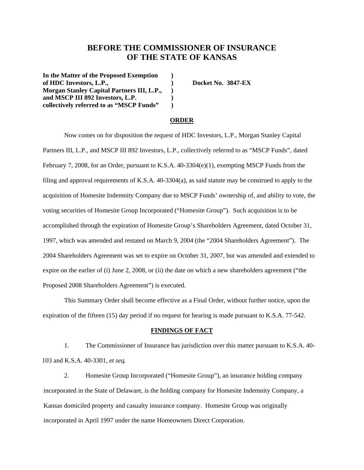# **BEFORE THE COMMISSIONER OF INSURANCE OF THE STATE OF KANSAS**

**In the Matter of the Proposed Exemption ) of HDC Investors, L.P., ) Docket No. 3847-EX Morgan Stanley Capital Partners III, L.P., ) and MSCP III 892 Investors, L.P. ) collectively referred to as "MSCP Funds" )**

#### **ORDER**

Now comes on for disposition the request of HDC Investors, L.P., Morgan Stanley Capital Partners III, L.P., and MSCP III 892 Investors, L.P., collectively referred to as "MSCP Funds", dated February 7, 2008, for an Order, pursuant to K.S.A. 40-3304(e)(1), exempting MSCP Funds from the filing and approval requirements of K.S.A. 40-3304(a), as said statute may be construed to apply to the acquisition of Homesite Indemnity Company due to MSCP Funds' ownership of, and ability to vote, the voting securities of Homesite Group Incorporated ("Homesite Group"). Such acquisition is to be accomplished through the expiration of Homesite Group's Shareholders Agreement, dated October 31, 1997, which was amended and restated on March 9, 2004 (the "2004 Shareholders Agreement"). The 2004 Shareholders Agreement was set to expire on October 31, 2007, but was amended and extended to expire on the earlier of (i) June 2, 2008, or (ii) the date on which a new shareholders agreement ("the Proposed 2008 Shareholders Agreement") is executed.

This Summary Order shall become effective as a Final Order, without further notice, upon the expiration of the fifteen (15) day period if no request for hearing is made pursuant to K.S.A. 77-542.

#### **FINDINGS OF FACT**

1. The Commissioner of Insurance has jurisdiction over this matter pursuant to K.S.A. 40- 103 and K.S.A. 40-3301, *et seq.*

2. Homesite Group Incorporated ("Homesite Group"), an insurance holding company incorporated in the State of Delaware, is the holding company for Homesite Indemnity Company, a Kansas domiciled property and casualty insurance company. Homesite Group was originally incorporated in April 1997 under the name Homeowners Direct Corporation.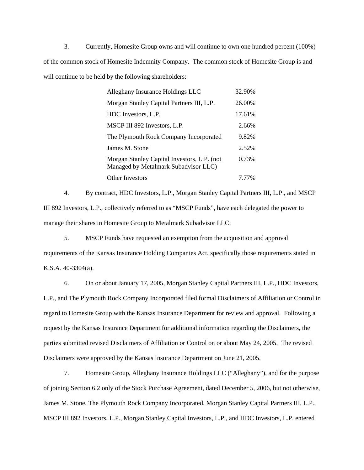3. Currently, Homesite Group owns and will continue to own one hundred percent (100%) of the common stock of Homesite Indemnity Company. The common stock of Homesite Group is and will continue to be held by the following shareholders:

| Alleghany Insurance Holdings LLC                                                    | 32.90% |
|-------------------------------------------------------------------------------------|--------|
| Morgan Stanley Capital Partners III, L.P.                                           | 26.00% |
| HDC Investors, L.P.                                                                 | 17.61% |
| MSCP III 892 Investors, L.P.                                                        | 2.66%  |
| The Plymouth Rock Company Incorporated                                              | 9.82%  |
| James M. Stone                                                                      | 2.52%  |
| Morgan Stanley Capital Investors, L.P. (not<br>Managed by Metalmark Subadvisor LLC) | 0.73%  |
| Other Investors                                                                     | 7.77%  |

4. By contract, HDC Investors, L.P., Morgan Stanley Capital Partners III, L.P., and MSCP III 892 Investors, L.P., collectively referred to as "MSCP Funds", have each delegated the power to manage their shares in Homesite Group to Metalmark Subadvisor LLC.

5. MSCP Funds have requested an exemption from the acquisition and approval requirements of the Kansas Insurance Holding Companies Act, specifically those requirements stated in K.S.A. 40-3304(a).

6. On or about January 17, 2005, Morgan Stanley Capital Partners III, L.P., HDC Investors, L.P., and The Plymouth Rock Company Incorporated filed formal Disclaimers of Affiliation or Control in regard to Homesite Group with the Kansas Insurance Department for review and approval. Following a request by the Kansas Insurance Department for additional information regarding the Disclaimers, the parties submitted revised Disclaimers of Affiliation or Control on or about May 24, 2005. The revised Disclaimers were approved by the Kansas Insurance Department on June 21, 2005.

7. Homesite Group, Alleghany Insurance Holdings LLC ("Alleghany"), and for the purpose of joining Section 6.2 only of the Stock Purchase Agreement, dated December 5, 2006, but not otherwise, James M. Stone, The Plymouth Rock Company Incorporated, Morgan Stanley Capital Partners III, L.P., MSCP III 892 Investors, L.P., Morgan Stanley Capital Investors, L.P., and HDC Investors, L.P. entered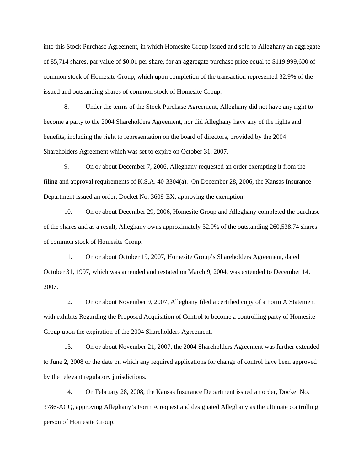into this Stock Purchase Agreement, in which Homesite Group issued and sold to Alleghany an aggregate of 85,714 shares, par value of \$0.01 per share, for an aggregate purchase price equal to \$119,999,600 of common stock of Homesite Group, which upon completion of the transaction represented 32.9% of the issued and outstanding shares of common stock of Homesite Group.

8. Under the terms of the Stock Purchase Agreement, Alleghany did not have any right to become a party to the 2004 Shareholders Agreement, nor did Alleghany have any of the rights and benefits, including the right to representation on the board of directors, provided by the 2004 Shareholders Agreement which was set to expire on October 31, 2007.

9. On or about December 7, 2006, Alleghany requested an order exempting it from the filing and approval requirements of K.S.A. 40-3304(a). On December 28, 2006, the Kansas Insurance Department issued an order, Docket No. 3609-EX, approving the exemption.

10. On or about December 29, 2006, Homesite Group and Alleghany completed the purchase of the shares and as a result, Alleghany owns approximately 32.9% of the outstanding 260,538.74 shares of common stock of Homesite Group.

11. On or about October 19, 2007, Homesite Group's Shareholders Agreement, dated October 31, 1997, which was amended and restated on March 9, 2004, was extended to December 14, 2007.

12. On or about November 9, 2007, Alleghany filed a certified copy of a Form A Statement with exhibits Regarding the Proposed Acquisition of Control to become a controlling party of Homesite Group upon the expiration of the 2004 Shareholders Agreement.

13. On or about November 21, 2007, the 2004 Shareholders Agreement was further extended to June 2, 2008 or the date on which any required applications for change of control have been approved by the relevant regulatory jurisdictions.

14. On February 28, 2008, the Kansas Insurance Department issued an order, Docket No. 3786-ACQ, approving Alleghany's Form A request and designated Alleghany as the ultimate controlling person of Homesite Group.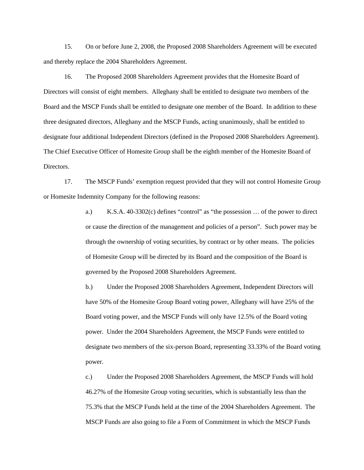15. On or before June 2, 2008, the Proposed 2008 Shareholders Agreement will be executed and thereby replace the 2004 Shareholders Agreement.

16. The Proposed 2008 Shareholders Agreement provides that the Homesite Board of Directors will consist of eight members. Alleghany shall be entitled to designate two members of the Board and the MSCP Funds shall be entitled to designate one member of the Board. In addition to these three designated directors, Alleghany and the MSCP Funds, acting unanimously, shall be entitled to designate four additional Independent Directors (defined in the Proposed 2008 Shareholders Agreement). The Chief Executive Officer of Homesite Group shall be the eighth member of the Homesite Board of Directors.

17. The MSCP Funds' exemption request provided that they will not control Homesite Group or Homesite Indemnity Company for the following reasons:

> a.) K.S.A. 40-3302(c) defines "control" as "the possession … of the power to direct or cause the direction of the management and policies of a person". Such power may be through the ownership of voting securities, by contract or by other means. The policies of Homesite Group will be directed by its Board and the composition of the Board is governed by the Proposed 2008 Shareholders Agreement.

b.) Under the Proposed 2008 Shareholders Agreement, Independent Directors will have 50% of the Homesite Group Board voting power, Alleghany will have 25% of the Board voting power, and the MSCP Funds will only have 12.5% of the Board voting power. Under the 2004 Shareholders Agreement, the MSCP Funds were entitled to designate two members of the six-person Board, representing 33.33% of the Board voting power.

c.) Under the Proposed 2008 Shareholders Agreement, the MSCP Funds will hold 46.27% of the Homesite Group voting securities, which is substantially less than the 75.3% that the MSCP Funds held at the time of the 2004 Shareholders Agreement. The MSCP Funds are also going to file a Form of Commitment in which the MSCP Funds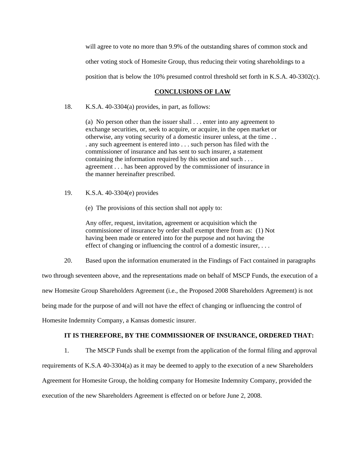will agree to vote no more than 9.9% of the outstanding shares of common stock and other voting stock of Homesite Group, thus reducing their voting shareholdings to a position that is below the 10% presumed control threshold set forth in K.S.A. 40-3302(c).

## **CONCLUSIONS OF LAW**

18. K.S.A. 40-3304(a) provides, in part, as follows:

(a) No person other than the issuer shall . . . enter into any agreement to exchange securities, or, seek to acquire, or acquire, in the open market or otherwise, any voting security of a domestic insurer unless, at the time . . . any such agreement is entered into . . . such person has filed with the commissioner of insurance and has sent to such insurer, a statement containing the information required by this section and such . . . agreement . . . has been approved by the commissioner of insurance in the manner hereinafter prescribed.

- 19. K.S.A. 40-3304(e) provides
	- (e) The provisions of this section shall not apply to:

Any offer, request, invitation, agreement or acquisition which the commissioner of insurance by order shall exempt there from as: (1) Not having been made or entered into for the purpose and not having the effect of changing or influencing the control of a domestic insurer, ...

20. Based upon the information enumerated in the Findings of Fact contained in paragraphs

two through seventeen above, and the representations made on behalf of MSCP Funds, the execution of a

new Homesite Group Shareholders Agreement (i.e., the Proposed 2008 Shareholders Agreement) is not

being made for the purpose of and will not have the effect of changing or influencing the control of

Homesite Indemnity Company, a Kansas domestic insurer.

## **IT IS THEREFORE, BY THE COMMISSIONER OF INSURANCE, ORDERED THAT:**

1. The MSCP Funds shall be exempt from the application of the formal filing and approval requirements of K.S.A 40-3304(a) as it may be deemed to apply to the execution of a new Shareholders Agreement for Homesite Group, the holding company for Homesite Indemnity Company, provided the execution of the new Shareholders Agreement is effected on or before June 2, 2008.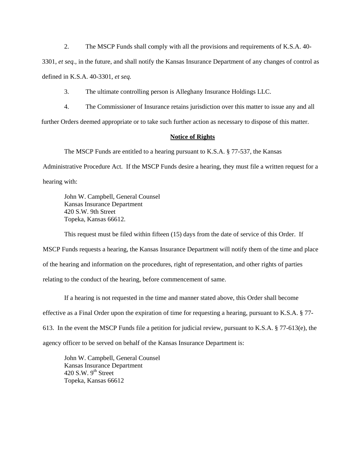2. The MSCP Funds shall comply with all the provisions and requirements of K.S.A. 40-

3301, *et seq.,* in the future, and shall notify the Kansas Insurance Department of any changes of control as defined in K.S.A. 40-3301, *et seq.* 

3. The ultimate controlling person is Alleghany Insurance Holdings LLC.

4. The Commissioner of Insurance retains jurisdiction over this matter to issue any and all

further Orders deemed appropriate or to take such further action as necessary to dispose of this matter.

## **Notice of Rights**

The MSCP Funds are entitled to a hearing pursuant to K.S.A. § 77-537, the Kansas

Administrative Procedure Act. If the MSCP Funds desire a hearing, they must file a written request for a hearing with:

John W. Campbell, General Counsel Kansas Insurance Department 420 S.W. 9th Street Topeka, Kansas 66612.

This request must be filed within fifteen (15) days from the date of service of this Order. If

MSCP Funds requests a hearing, the Kansas Insurance Department will notify them of the time and place of the hearing and information on the procedures, right of representation, and other rights of parties relating to the conduct of the hearing, before commencement of same.

 If a hearing is not requested in the time and manner stated above, this Order shall become effective as a Final Order upon the expiration of time for requesting a hearing, pursuant to K.S.A. § 77- 613. In the event the MSCP Funds file a petition for judicial review, pursuant to K.S.A. § 77-613(e), the agency officer to be served on behalf of the Kansas Insurance Department is:

 John W. Campbell, General Counsel Kansas Insurance Department 420 S.W.  $9<sup>th</sup>$  Street Topeka, Kansas 66612